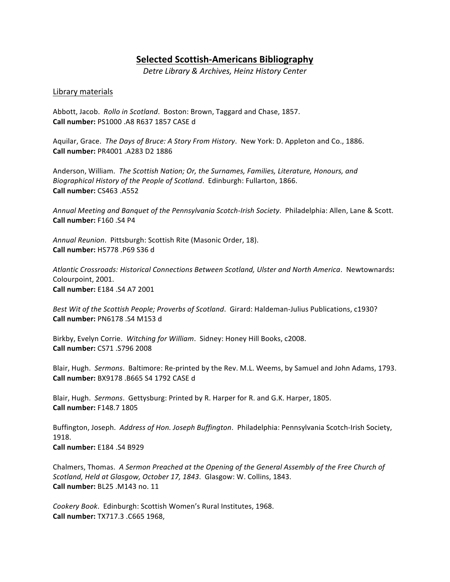# **Selected Scottish-Americans Bibliography**

*Detre Library & Archives, Heinz History Center*

## Library materials

Abbott, Jacob. Rollo in Scotland. Boston: Brown, Taggard and Chase, 1857. **Call number:** PS1000 .A8 R637 1857 CASE d 

Aquilar, Grace. The Days of Bruce: A Story From History. New York: D. Appleton and Co., 1886. **Call number:** PR4001 .A283 D2 1886 

Anderson, William. The Scottish Nation; Or, the Surnames, Families, Literature, Honours, and *Biographical History of the People of Scotland.* Edinburgh: Fullarton, 1866. **Call number:** CS463 .A552 

Annual Meeting and Banquet of the Pennsylvania Scotch-Irish Society. Philadelphia: Allen, Lane & Scott. **Call number:** F160 .S4 P4 

Annual Reunion. Pittsburgh: Scottish Rite (Masonic Order, 18). **Call number:** HS778 .P69 S36 d 

*Atlantic Crossroads: Historical Connections Between Scotland, Ulster and North America*. Newtownards**:**  Colourpoint, 2001. **Call number:** E184 .S4 A7 2001

Best Wit of the Scottish People; Proverbs of Scotland. Girard: Haldeman-Julius Publications, c1930? **Call number: PN6178 .S4 M153 d** 

Birkby, Evelyn Corrie. Witching for William. Sidney: Honey Hill Books, c2008. **Call number:** CS71 .S796 2008 

Blair, Hugh. *Sermons*. Baltimore: Re-printed by the Rev. M.L. Weems, by Samuel and John Adams, 1793. **Call number:** BX9178 .B665 S4 1792 CASE d 

Blair, Hugh. Sermons. Gettysburg: Printed by R. Harper for R. and G.K. Harper, 1805. **Call number:** F148.7 1805 

Buffington, Joseph. Address of Hon. Joseph Buffington. Philadelphia: Pennsylvania Scotch-Irish Society, 1918. 

**Call number:** E184 .S4 B929 

Chalmers, Thomas. A Sermon Preached at the Opening of the General Assembly of the Free Church of Scotland, Held at Glasgow, October 17, 1843. Glasgow: W. Collins, 1843. **Call number:** BL25 .M143 no. 11

Cookery Book. Edinburgh: Scottish Women's Rural Institutes, 1968. **Call number:** TX717.3 .C665 1968,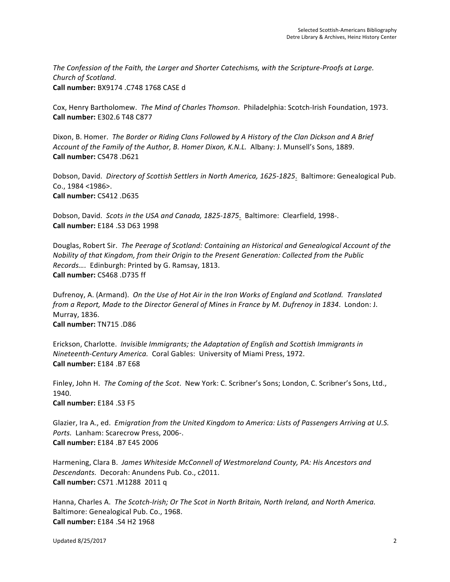The Confession of the Faith, the Larger and Shorter Catechisms, with the Scripture-Proofs at Large. *Church of Scotland*. **Call number:** BX9174 .C748 1768 CASE d 

Cox, Henry Bartholomew. The Mind of Charles Thomson. Philadelphia: Scotch-Irish Foundation, 1973. **Call number:** E302.6 T48 C877

Dixon, B. Homer. The Border or Riding Clans Followed by A History of the Clan Dickson and A Brief *Account of the Family of the Author, B. Homer Dixon, K.N.L.* Albany: J. Munsell's Sons, 1889. **Call number:** CS478 .D621

Dobson, David. *Directory of Scottish Settlers in North America, 1625-1825*. Baltimore: Genealogical Pub. Co., 1984 <1986>. **Call number:** CS412 .D635 

Dobson, David. Scots in the USA and Canada, 1825-1875. Baltimore: Clearfield, 1998-. **Call number:** E184 .S3 D63 1998 

Douglas, Robert Sir. The Peerage of Scotland: Containing an Historical and Genealogical Account of the *Nobility of that Kingdom, from their Origin to the Present Generation: Collected from the Public Records....* Edinburgh: Printed by G. Ramsay, 1813. **Call number:** CS468 .D735 ff 

Dufrenoy, A. (Armand). On the Use of Hot Air in the Iron Works of England and Scotland. Translated *from a Report, Made to the Director General of Mines in France by M. Dufrenoy in 1834. London: J.* Murray, 1836. **Call number:** TN715 .D86 

Erickson, Charlotte. *Invisible Immigrants; the Adaptation of English and Scottish Immigrants in Nineteenth-Century America.* Coral Gables: University of Miami Press, 1972. **Call number:** E184 .B7 E68 

Finley, John H. The Coming of the Scot. New York: C. Scribner's Sons; London, C. Scribner's Sons, Ltd., 1940. 

**Call number:** E184 .S3 F5

Glazier, Ira A., ed. Emigration from the United Kingdom to America: Lists of Passengers Arriving at U.S. Ports. Lanham: Scarecrow Press, 2006-. **Call number:** E184 .B7 E45 2006 

Harmening, Clara B. James Whiteside McConnell of Westmoreland County, PA: His Ancestors and Descendants. Decorah: Anundens Pub. Co., c2011. **Call number:** CS71 .M1288 2011 q

Hanna, Charles A. The Scotch-Irish; Or The Scot in North Britain, North Ireland, and North America. Baltimore: Genealogical Pub. Co., 1968. **Call number:** E184 .S4 H2 1968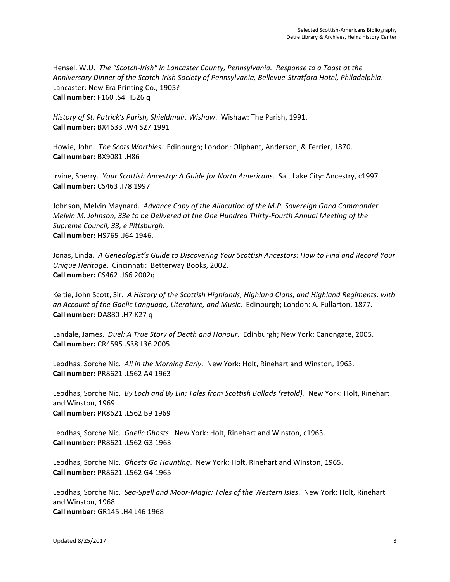Hensel, W.U. The "Scotch-Irish" in Lancaster County, Pennsylvania. Response to a Toast at the *Anniversary Dinner of the Scotch-Irish Society of Pennsylvania, Bellevue-Stratford Hotel, Philadelphia*. Lancaster: New Era Printing Co., 1905? **Call number:** F160 .S4 H526 q

*History of St. Patrick's Parish, Shieldmuir, Wishaw.* Wishaw: The Parish, 1991. **Call number:** BX4633 .W4 S27 1991 

Howie, John. The Scots Worthies. Edinburgh; London: Oliphant, Anderson, & Ferrier, 1870. **Call number:** BX9081 .H86 

Irvine, Sherry. Your Scottish Ancestry: A Guide for North Americans. Salt Lake City: Ancestry, c1997. **Call number:** CS463 .I78 1997

Johnson, Melvin Maynard. Advance Copy of the Allocution of the M.P. Sovereign Gand Commander *Melvin M. Johnson, 33e to be Delivered at the One Hundred Thirty-Fourth Annual Meeting of the Supreme Council, 33, e Pittsburgh*. **Call number:** HS765 .J64 1946. 

Jonas, Linda. A Genealogist's Guide to Discovering Your Scottish Ancestors: How to Find and Record Your *Unique Heritage.* Cincinnati: Betterway Books, 2002. **Call number:** CS462 .J66 2002q 

Keltie, John Scott, Sir. A History of the Scottish Highlands, Highland Clans, and Highland Regiments: with an Account of the Gaelic Language, Literature, and Music. Edinburgh; London: A. Fullarton, 1877. **Call number:** DA880 .H7 K27 q

Landale, James. *Duel: A True Story of Death and Honour*. Edinburgh; New York: Canongate, 2005. **Call number:** CR4595 .S38 L36 2005

Leodhas, Sorche Nic. All in the Morning Early. New York: Holt, Rinehart and Winston, 1963. **Call number:** PR8621 .L562 A4 1963 

Leodhas, Sorche Nic. *By Loch and By Lin; Tales from Scottish Ballads (retold).* New York: Holt, Rinehart and Winston, 1969. **Call number:** PR8621 .L562 B9 1969 

Leodhas, Sorche Nic. Gaelic Ghosts. New York: Holt, Rinehart and Winston, c1963. **Call number:** PR8621 .L562 G3 1963 

Leodhas, Sorche Nic. Ghosts Go Haunting. New York: Holt, Rinehart and Winston, 1965. **Call number: PR8621 .L562 G4 1965** 

Leodhas, Sorche Nic. Sea-Spell and Moor-Magic; Tales of the Western Isles. New York: Holt, Rinehart and Winston, 1968. **Call number:** GR145 .H4 L46 1968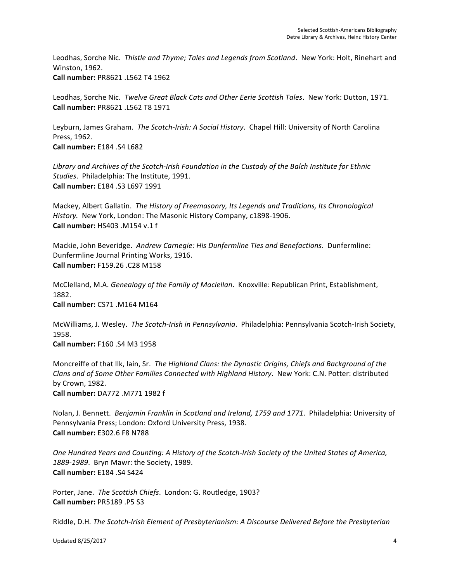Leodhas, Sorche Nic. Thistle and Thyme; Tales and Legends from Scotland. New York: Holt, Rinehart and Winston, 1962. **Call number:** PR8621 .L562 T4 1962 

Leodhas, Sorche Nic. Twelve Great Black Cats and Other Eerie Scottish Tales. New York: Dutton, 1971. **Call number:** PR8621 .L562 T8 1971 

Leyburn, James Graham. The Scotch-Irish: A Social History. Chapel Hill: University of North Carolina Press, 1962.

**Call number:** E184 .S4 L682

Library and Archives of the Scotch-Irish Foundation in the Custody of the Balch Institute for Ethnic *Studies.* Philadelphia: The Institute, 1991. **Call number:** E184 .S3 L697 1991

Mackey, Albert Gallatin. The History of Freemasonry, Its Legends and Traditions, Its Chronological *History.* New York, London: The Masonic History Company, c1898-1906. **Call number:** HS403 .M154 v.1 f

Mackie, John Beveridge. Andrew Carnegie: His Dunfermline Ties and Benefactions. Dunfermline: Dunfermline Journal Printing Works, 1916. **Call number:** F159.26 .C28 M158 

McClelland, M.A. *Genealogy of the Family of Maclellan*. Knoxville: Republican Print, Establishment, 1882. **Call number: CS71 .M164 M164** 

McWilliams, J. Wesley. The Scotch-Irish in Pennsylvania. Philadelphia: Pennsylvania Scotch-Irish Society, 1958. 

**Call number:** F160 .S4 M3 1958

Moncreiffe of that Ilk, Iain, Sr. The Highland Clans: the Dynastic Origins, Chiefs and Background of the *Clans and of Some Other Families Connected with Highland History.* New York: C.N. Potter: distributed by Crown, 1982. **Call number:** DA772 .M771 1982 f 

Nolan, J. Bennett. Benjamin Franklin in Scotland and Ireland, 1759 and 1771. Philadelphia: University of Pennsylvania Press; London: Oxford University Press, 1938. **Call number:** E302.6 F8 N788 

One Hundred Years and Counting: A History of the Scotch-Irish Society of the United States of America, 1889-1989. Bryn Mawr: the Society, 1989. **Call number:** E184 .S4 S424

Porter, Jane. The Scottish Chiefs. London: G. Routledge, 1903? **Call number:** PR5189 .P5 S3 

Riddle, D.H. The Scotch-Irish Element of Presbyterianism: A Discourse Delivered Before the Presbyterian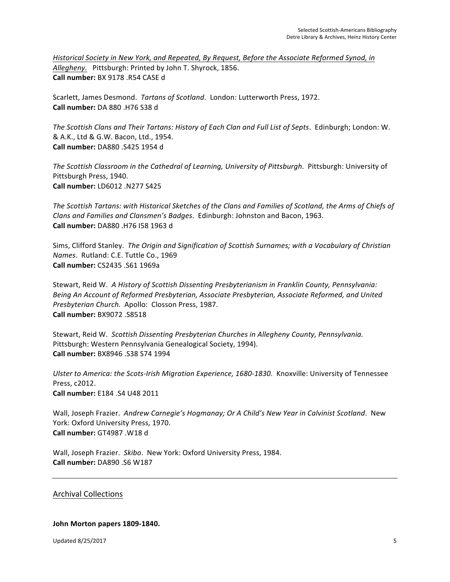Historical Society in New York, and Repeated, By Request, Before the Associate Reformed Synod, in Allegheny. Pittsburgh: Printed by John T. Shyrock, 1856. **Call number:** BX 9178 .R54 CASE d

Scarlett, James Desmond. *Tartans of Scotland*. London: Lutterworth Press, 1972. **Call number:** DA 880 .H76 S38 d 

The Scottish Clans and Their Tartans: History of Each Clan and Full List of Septs. Edinburgh; London: W. & A.K., Ltd & G.W. Bacon, Ltd., 1954. **Call number:** DA880 .S425 1954 d 

The Scottish Classroom in the Cathedral of Learning, University of Pittsburgh. Pittsburgh: University of Pittsburgh Press, 1940. **Call number:** LD6012 .N277 S425 

The Scottish Tartans: with Historical Sketches of the Clans and Families of Scotland, the Arms of Chiefs of *Clans and Families and Clansmen's Badges.* Edinburgh: Johnston and Bacon, 1963. **Call number:** DA880 .H76 I58 1963 d 

Sims, Clifford Stanley. The Origin and Signification of Scottish Surnames; with a Vocabulary of Christian *Names.* Rutland: C.E. Tuttle Co., 1969 **Call number:** CS2435 .S61 1969a

Stewart, Reid W. A History of Scottish Dissenting Presbyterianism in Franklin County, Pennsylvania: Being An Account of Reformed Presbyterian, Associate Presbyterian, Associate Reformed, and United *Presbyterian Church.* Apollo: Closson Press, 1987. **Call number:** BX9072 .S8518 

Stewart, Reid W. Scottish Dissenting Presbyterian Churches in Allegheny County, Pennsylvania. Pittsburgh: Western Pennsylvania Genealogical Society, 1994). **Call number:** BX8946 .S38 S74 1994 

Ulster to America: the Scots-Irish Migration Experience, 1680-1830. Knoxville: University of Tennessee Press, c2012. **Call number:** E184 .S4 U48 2011

Wall, Joseph Frazier. Andrew Carnegie's Hogmanay; Or A Child's New Year in Calvinist Scotland. New York: Oxford University Press, 1970. **Call number:** GT4987 .W18 d 

Wall, Joseph Frazier. Skibo. New York: Oxford University Press, 1984. **Call number:** DA890 .S6 W187

Archival Collections

#### **John Morton papers 1809-1840.**

Updated 8/25/2017 5